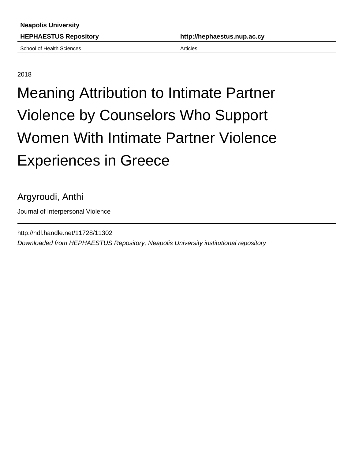School of Health Sciences **Articles** Articles

## 2018

# Meaning Attribution to Intimate Partner Violence by Counselors Who Support Women With Intimate Partner Violence Experiences in Greece

# Argyroudi, Anthi

Journal of Interpersonal Violence

http://hdl.handle.net/11728/11302 Downloaded from HEPHAESTUS Repository, Neapolis University institutional repository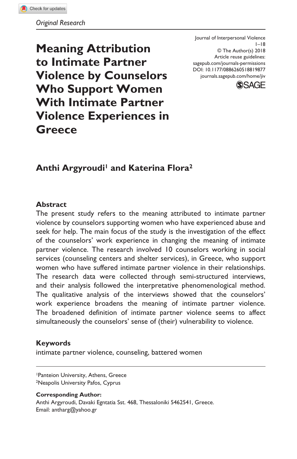**Meaning Attribution to Intimate Partner Violence by Counselors Who Support Women With Intimate Partner Violence Experiences in Greece**

DOI: 10.1177/0886260518819877 Journal of Interpersonal Violence  $1 - 18$ © The Author(s) 2018 Article reuse guidelines: [sagepub.com/journals-permissions](https://us.sagepub.com/en-us/journals-permissions) [journals.sagepub.com/home/jiv](https://journals.sagepub.com/home/jiv)



## Anthi Argyroudi<sup>1</sup> and Katerina Flora<sup>2</sup>

#### **Abstract**

The present study refers to the meaning attributed to intimate partner violence by counselors supporting women who have experienced abuse and seek for help. The main focus of the study is the investigation of the effect of the counselors' work experience in changing the meaning of intimate partner violence. The research involved 10 counselors working in social services (counseling centers and shelter services), in Greece, who support women who have suffered intimate partner violence in their relationships. The research data were collected through semi-structured interviews, and their analysis followed the interpretative phenomenological method. The qualitative analysis of the interviews showed that the counselors' work experience broadens the meaning of intimate partner violence. The broadened definition of intimate partner violence seems to affect simultaneously the counselors' sense of (their) vulnerability to violence.

#### **Keywords**

intimate partner violence, counseling, battered women

1Panteion University, Athens, Greece 2Neapolis University Pafos, Cyprus

#### **Corresponding Author:**

Anthi Argyroudi, Davaki Egntatia Sst. 468, Thessaloniki 5462541, Greece. Email: [antharg@yahoo.gr](mailto:antharg@yahoo.gr)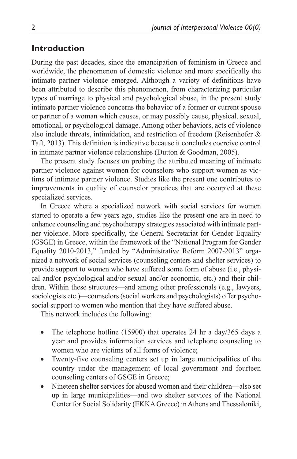### **Introduction**

During the past decades, since the emancipation of feminism in Greece and worldwide, the phenomenon of domestic violence and more specifically the intimate partner violence emerged. Although a variety of definitions have been attributed to describe this phenomenon, from characterizing particular types of marriage to physical and psychological abuse, in the present study intimate partner violence concerns the behavior of a former or current spouse or partner of a woman which causes, or may possibly cause, physical, sexual, emotional, or psychological damage. Among other behaviors, acts of violence also include threats, intimidation, and restriction of freedom (Reisenhofer & Taft, 2013). This definition is indicative because it concludes coercive control in intimate partner violence relationships (Dutton & Goodman, 2005).

The present study focuses on probing the attributed meaning of intimate partner violence against women for counselors who support women as victims of intimate partner violence. Studies like the present one contributes to improvements in quality of counselor practices that are occupied at these specialized services.

In Greece where a specialized network with social services for women started to operate a few years ago, studies like the present one are in need to enhance counseling and psychotherapy strategies associated with intimate partner violence. More specifically, the General Secretariat for Gender Equality (GSGE) in Greece, within the framework of the "National Program for Gender Equality 2010-2013," funded by "Administrative Reform 2007-2013" organized a network of social services (counseling centers and shelter services) to provide support to women who have suffered some form of abuse (i.e., physical and/or psychological and/or sexual and/or economic, etc.) and their children. Within these structures—and among other professionals (e.g., lawyers, sociologists etc.)—counselors (social workers and psychologists) offer psychosocial support to women who mention that they have suffered abuse.

This network includes the following:

- The telephone hotline (15900) that operates 24 hr a day/365 days a year and provides information services and telephone counseling to women who are victims of all forms of violence;
- Twenty-five counseling centers set up in large municipalities of the country under the management of local government and fourteen counseling centers of GSGE in Greece;
- Nineteen shelter services for abused women and their children—also set up in large municipalities—and two shelter services of the National Center for Social Solidarity (EKKA Greece) in Athens and Thessaloniki,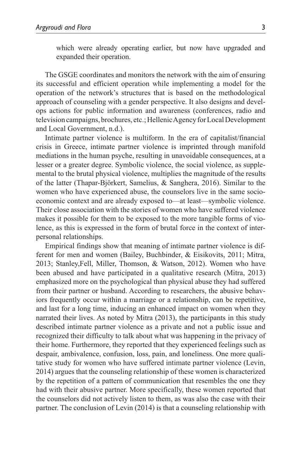which were already operating earlier, but now have upgraded and expanded their operation.

The GSGE coordinates and monitors the network with the aim of ensuring its successful and efficient operation while implementing a model for the operation of the network's structures that is based on the methodological approach of counseling with a gender perspective. It also designs and develops actions for public information and awareness (conferences, radio and television campaigns, brochures, etc.; Hellenic Agency for Local Development and Local Government, n.d.).

Intimate partner violence is multiform. In the era of capitalist/financial crisis in Greece, intimate partner violence is imprinted through manifold mediations in the human psyche, resulting in unavoidable consequences, at a lesser or a greater degree. Symbolic violence, the social violence, as supplemental to the brutal physical violence, multiplies the magnitude of the results of the latter (Thapar-Björkert, Samelius, & Sanghera, 2016). Similar to the women who have experienced abuse, the counselors live in the same socioeconomic context and are already exposed to—at least—symbolic violence. Their close association with the stories of women who have suffered violence makes it possible for them to be exposed to the more tangible forms of violence, as this is expressed in the form of brutal force in the context of interpersonal relationships.

Empirical findings show that meaning of intimate partner violence is different for men and women (Bailey, Buchbinder, & Eisikovits, 2011; Mitra, 2013; Stanley,Fell, Miller, Thomson, & Watson, 2012). Women who have been abused and have participated in a qualitative research (Mitra, 2013) emphasized more on the psychological than physical abuse they had suffered from their partner or husband. According to researchers, the abusive behaviors frequently occur within a marriage or a relationship, can be repetitive, and last for a long time, inducing an enhanced impact on women when they narrated their lives. As noted by Mitra (2013), the participants in this study described intimate partner violence as a private and not a public issue and recognized their difficulty to talk about what was happening in the privacy of their home. Furthermore, they reported that they experienced feelings such as despair, ambivalence, confusion, loss, pain, and loneliness. One more qualitative study for women who have suffered intimate partner violence (Levin, 2014) argues that the counseling relationship of these women is characterized by the repetition of a pattern of communication that resembles the one they had with their abusive partner. More specifically, these women reported that the counselors did not actively listen to them, as was also the case with their partner. The conclusion of Levin (2014) is that a counseling relationship with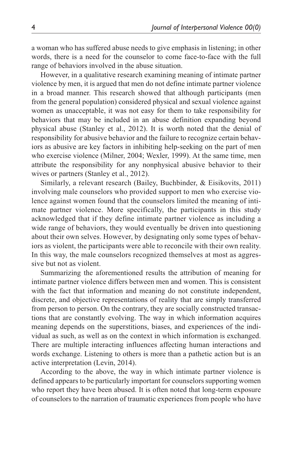a woman who has suffered abuse needs to give emphasis in listening; in other words, there is a need for the counselor to come face-to-face with the full range of behaviors involved in the abuse situation.

However, in a qualitative research examining meaning of intimate partner violence by men, it is argued that men do not define intimate partner violence in a broad manner. This research showed that although participants (men from the general population) considered physical and sexual violence against women as unacceptable, it was not easy for them to take responsibility for behaviors that may be included in an abuse definition expanding beyond physical abuse (Stanley et al., 2012). It is worth noted that the denial of responsibility for abusive behavior and the failure to recognize certain behaviors as abusive are key factors in inhibiting help-seeking on the part of men who exercise violence (Milner, 2004; Wexler, 1999). At the same time, men attribute the responsibility for any nonphysical abusive behavior to their wives or partners (Stanley et al., 2012).

Similarly, a relevant research (Bailey, Buchbinder, & Eisikovits, 2011) involving male counselors who provided support to men who exercise violence against women found that the counselors limited the meaning of intimate partner violence. More specifically, the participants in this study acknowledged that if they define intimate partner violence as including a wide range of behaviors, they would eventually be driven into questioning about their own selves. However, by designating only some types of behaviors as violent, the participants were able to reconcile with their own reality. In this way, the male counselors recognized themselves at most as aggressive but not as violent.

Summarizing the aforementioned results the attribution of meaning for intimate partner violence differs between men and women. This is consistent with the fact that information and meaning do not constitute independent, discrete, and objective representations of reality that are simply transferred from person to person. On the contrary, they are socially constructed transactions that are constantly evolving. The way in which information acquires meaning depends on the superstitions, biases, and experiences of the individual as such, as well as on the context in which information is exchanged. There are multiple interacting influences affecting human interactions and words exchange. Listening to others is more than a pathetic action but is an active interpretation (Levin, 2014).

According to the above, the way in which intimate partner violence is defined appears to be particularly important for counselors supporting women who report they have been abused. It is often noted that long-term exposure of counselors to the narration of traumatic experiences from people who have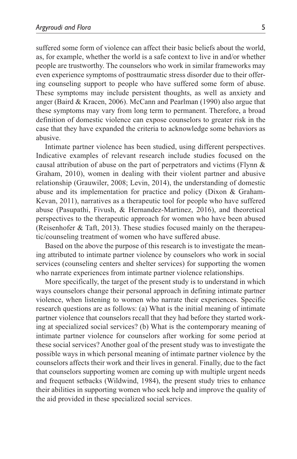suffered some form of violence can affect their basic beliefs about the world, as, for example, whether the world is a safe context to live in and/or whether people are trustworthy. The counselors who work in similar frameworks may even experience symptoms of posttraumatic stress disorder due to their offering counseling support to people who have suffered some form of abuse. These symptoms may include persistent thoughts, as well as anxiety and anger (Baird & Kracen, 2006). McCann and Pearlman (1990) also argue that these symptoms may vary from long term to permanent. Therefore, a broad definition of domestic violence can expose counselors to greater risk in the case that they have expanded the criteria to acknowledge some behaviors as abusive.

Intimate partner violence has been studied, using different perspectives. Indicative examples of relevant research include studies focused on the causal attribution of abuse on the part of perpetrators and victims (Flynn & Graham, 2010), women in dealing with their violent partner and abusive relationship (Grauwiler, 2008; Levin, 2014), the understanding of domestic abuse and its implementation for practice and policy (Dixon & Graham-Kevan, 2011), narratives as a therapeutic tool for people who have suffered abuse (Pasupathi, Fivush, & Hernandez-Martinez, 2016), and theoretical perspectives to the therapeutic approach for women who have been abused (Reisenhofer & Taft, 2013). These studies focused mainly on the therapeutic/counseling treatment of women who have suffered abuse.

Based on the above the purpose of this research is to investigate the meaning attributed to intimate partner violence by counselors who work in social services (counseling centers and shelter services) for supporting the women who narrate experiences from intimate partner violence relationships.

More specifically, the target of the present study is to understand in which ways counselors change their personal approach in defining intimate partner violence, when listening to women who narrate their experiences. Specific research questions are as follows: (a) What is the initial meaning of intimate partner violence that counselors recall that they had before they started working at specialized social services? (b) What is the contemporary meaning of intimate partner violence for counselors after working for some period at these social services? Another goal of the present study was to investigate the possible ways in which personal meaning of intimate partner violence by the counselors affects their work and their lives in general. Finally, due to the fact that counselors supporting women are coming up with multiple urgent needs and frequent setbacks (Wildwind, 1984), the present study tries to enhance their abilities in supporting women who seek help and improve the quality of the aid provided in these specialized social services.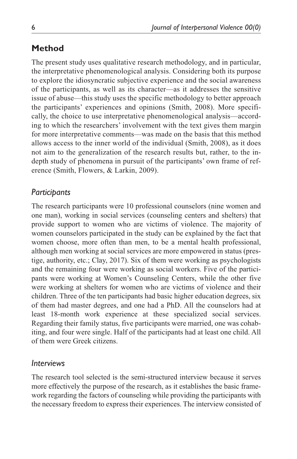## **Method**

The present study uses qualitative research methodology, and in particular, the interpretative phenomenological analysis. Considering both its purpose to explore the idiosyncratic subjective experience and the social awareness of the participants, as well as its character—as it addresses the sensitive issue of abuse—this study uses the specific methodology to better approach the participants' experiences and opinions (Smith, 2008). More specifically, the choice to use interpretative phenomenological analysis—according to which the researchers' involvement with the text gives them margin for more interpretative comments—was made on the basis that this method allows access to the inner world of the individual (Smith, 2008), as it does not aim to the generalization of the research results but, rather, to the indepth study of phenomena in pursuit of the participants' own frame of reference (Smith, Flowers, & Larkin, 2009).

## *Participants*

The research participants were 10 professional counselors (nine women and one man), working in social services (counseling centers and shelters) that provide support to women who are victims of violence. The majority of women counselors participated in the study can be explained by the fact that women choose, more often than men, to be a mental health professional, although men working at social services are more empowered in status (prestige, authority, etc.; Clay, 2017). Six of them were working as psychologists and the remaining four were working as social workers. Five of the participants were working at Women's Counseling Centers, while the other five were working at shelters for women who are victims of violence and their children. Three of the ten participants had basic higher education degrees, six of them had master degrees, and one had a PhD. All the counselors had at least 18-month work experience at these specialized social services. Regarding their family status, five participants were married, one was cohabiting, and four were single. Half of the participants had at least one child. All of them were Greek citizens.

### *Interviews*

The research tool selected is the semi-structured interview because it serves more effectively the purpose of the research, as it establishes the basic framework regarding the factors of counseling while providing the participants with the necessary freedom to express their experiences. The interview consisted of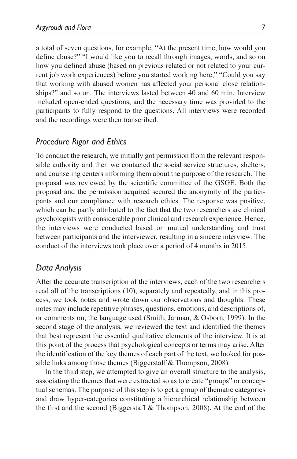a total of seven questions, for example, "At the present time, how would you define abuse?" "I would like you to recall through images, words, and so on how you defined abuse (based on previous related or not related to your current job work experiences) before you started working here," "Could you say that working with abused women has affected your personal close relationships?" and so on. The interviews lasted between 40 and 60 min. Interview included open-ended questions, and the necessary time was provided to the participants to fully respond to the questions. All interviews were recorded and the recordings were then transcribed.

#### *Procedure Rigor and Ethics*

To conduct the research, we initially got permission from the relevant responsible authority and then we contacted the social service structures, shelters, and counseling centers informing them about the purpose of the research. The proposal was reviewed by the scientific committee of the GSGE. Both the proposal and the permission acquired secured the anonymity of the participants and our compliance with research ethics. The response was positive, which can be partly attributed to the fact that the two researchers are clinical psychologists with considerable prior clinical and research experience. Hence, the interviews were conducted based on mutual understanding and trust between participants and the interviewer, resulting in a sincere interview. The conduct of the interviews took place over a period of 4 months in 2015.

#### *Data Analysis*

After the accurate transcription of the interviews, each of the two researchers read all of the transcriptions (10), separately and repeatedly, and in this process, we took notes and wrote down our observations and thoughts. These notes may include repetitive phrases, questions, emotions, and descriptions of, or comments on, the language used (Smith, Jarman, & Osborn, 1999). In the second stage of the analysis, we reviewed the text and identified the themes that best represent the essential qualitative elements of the interview. It is at this point of the process that psychological concepts or terms may arise. After the identification of the key themes of each part of the text, we looked for possible links among those themes (Biggerstaff & Thompson, 2008).

In the third step, we attempted to give an overall structure to the analysis, associating the themes that were extracted so as to create "groups" or conceptual schemas. The purpose of this step is to get a group of thematic categories and draw hyper-categories constituting a hierarchical relationship between the first and the second (Biggerstaff & Thompson, 2008). At the end of the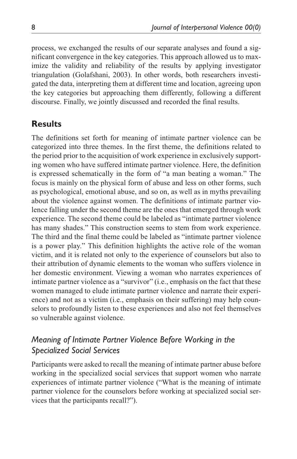process, we exchanged the results of our separate analyses and found a significant convergence in the key categories. This approach allowed us to maximize the validity and reliability of the results by applying investigator triangulation (Golafshani, 2003). In other words, both researchers investigated the data, interpreting them at different time and location, agreeing upon the key categories but approaching them differently, following a different discourse. Finally, we jointly discussed and recorded the final results.

## **Results**

The definitions set forth for meaning of intimate partner violence can be categorized into three themes. In the first theme, the definitions related to the period prior to the acquisition of work experience in exclusively supporting women who have suffered intimate partner violence. Here, the definition is expressed schematically in the form of "a man beating a woman." The focus is mainly on the physical form of abuse and less on other forms, such as psychological, emotional abuse, and so on, as well as in myths prevailing about the violence against women. The definitions of intimate partner violence falling under the second theme are the ones that emerged through work experience. The second theme could be labeled as "intimate partner violence has many shades." This construction seems to stem from work experience. The third and the final theme could be labeled as "intimate partner violence is a power play." This definition highlights the active role of the woman victim, and it is related not only to the experience of counselors but also to their attribution of dynamic elements to the woman who suffers violence in her domestic environment. Viewing a woman who narrates experiences of intimate partner violence as a "survivor" (i.e., emphasis on the fact that these women managed to elude intimate partner violence and narrate their experience) and not as a victim (i.e., emphasis on their suffering) may help counselors to profoundly listen to these experiences and also not feel themselves so vulnerable against violence.

## *Meaning of Intimate Partner Violence Before Working in the Specialized Social Services*

Participants were asked to recall the meaning of intimate partner abuse before working in the specialized social services that support women who narrate experiences of intimate partner violence ("What is the meaning of intimate partner violence for the counselors before working at specialized social services that the participants recall?").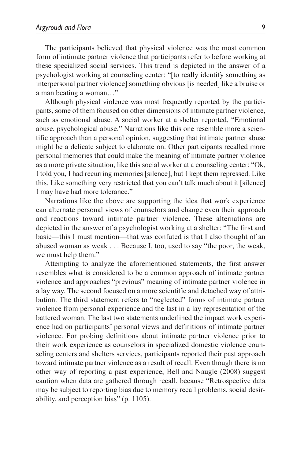The participants believed that physical violence was the most common form of intimate partner violence that participants refer to before working at these specialized social services. This trend is depicted in the answer of a psychologist working at counseling center: "[to really identify something as interpersonal partner violence] something obvious [is needed] like a bruise or a man beating a woman…"

Although physical violence was most frequently reported by the participants, some of them focused on other dimensions of intimate partner violence, such as emotional abuse. A social worker at a shelter reported, "Emotional abuse, psychological abuse." Narrations like this one resemble more a scientific approach than a personal opinion, suggesting that intimate partner abuse might be a delicate subject to elaborate on. Other participants recalled more personal memories that could make the meaning of intimate partner violence as a more private situation, like this social worker at a counseling center: "Ok, I told you, I had recurring memories [silence], but I kept them repressed. Like this. Like something very restricted that you can't talk much about it [silence] I may have had more tolerance."

Narrations like the above are supporting the idea that work experience can alternate personal views of counselors and change even their approach and reactions toward intimate partner violence. These alternations are depicted in the answer of a psychologist working at a shelter: "The first and basic—this I must mention—that was confuted is that I also thought of an abused woman as weak . . . Because I, too, used to say "the poor, the weak, we must help them."

Attempting to analyze the aforementioned statements, the first answer resembles what is considered to be a common approach of intimate partner violence and approaches "previous" meaning of intimate partner violence in a lay way. The second focused on a more scientific and detached way of attribution. The third statement refers to "neglected" forms of intimate partner violence from personal experience and the last in a lay representation of the battered woman. The last two statements underlined the impact work experience had on participants' personal views and definitions of intimate partner violence. For probing definitions about intimate partner violence prior to their work experience as counselors in specialized domestic violence counseling centers and shelters services, participants reported their past approach toward intimate partner violence as a result of recall. Even though there is no other way of reporting a past experience, Bell and Naugle (2008) suggest caution when data are gathered through recall, because "Retrospective data may be subject to reporting bias due to memory recall problems, social desirability, and perception bias" (p. 1105).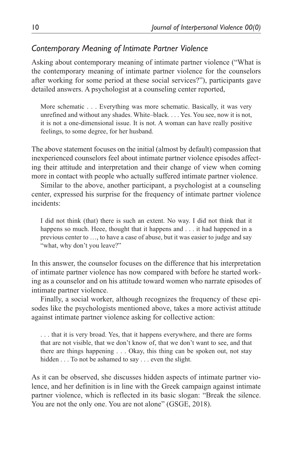## *Contemporary Meaning of Intimate Partner Violence*

Asking about contemporary meaning of intimate partner violence ("What is the contemporary meaning of intimate partner violence for the counselors after working for some period at these social services?"), participants gave detailed answers. A psychologist at a counseling center reported,

More schematic . . . Everything was more schematic. Basically, it was very unrefined and without any shades. White–black. . . . Yes. You see, now it is not, it is not a one-dimensional issue. It is not. A woman can have really positive feelings, to some degree, for her husband.

The above statement focuses on the initial (almost by default) compassion that inexperienced counselors feel about intimate partner violence episodes affecting their attitude and interpretation and their change of view when coming more in contact with people who actually suffered intimate partner violence.

Similar to the above, another participant, a psychologist at a counseling center, expressed his surprise for the frequency of intimate partner violence incidents:

I did not think (that) there is such an extent. No way. I did not think that it happens so much. Heee, thought that it happens and . . . it had happened in a previous center to …, to have a case of abuse, but it was easier to judge and say "what, why don't you leave?"

In this answer, the counselor focuses on the difference that his interpretation of intimate partner violence has now compared with before he started working as a counselor and on his attitude toward women who narrate episodes of intimate partner violence.

Finally, a social worker, although recognizes the frequency of these episodes like the psychologists mentioned above, takes a more activist attitude against intimate partner violence asking for collective action:

. . . that it is very broad. Yes, that it happens everywhere, and there are forms that are not visible, that we don't know of, that we don't want to see, and that there are things happening . . . Okay, this thing can be spoken out, not stay hidden . . . To not be ashamed to say . . . even the slight.

As it can be observed, she discusses hidden aspects of intimate partner violence, and her definition is in line with the Greek campaign against intimate partner violence, which is reflected in its basic slogan: "Break the silence. You are not the only one. You are not alone" (GSGE, 2018).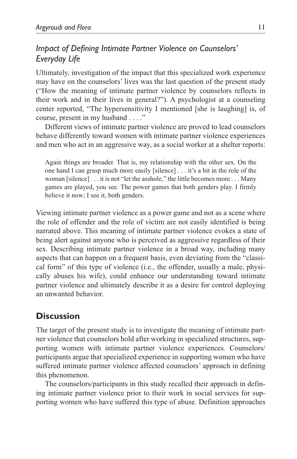## *Impact of Defining Intimate Partner Violence on Counselors' Everyday Life*

Ultimately, investigation of the impact that this specialized work experience may have on the counselors' lives was the last question of the present study ("How the meaning of intimate partner violence by counselors reflects in their work and in their lives in general?"). A psychologist at a counseling center reported, "The hypersensitivity I mentioned [she is laughing] is, of course, present in my husband . . . ."

Different views of intimate partner violence are proved to lead counselors behave differently toward women with intimate partner violence experiences and men who act in an aggressive way, as a social worker at a shelter reports:

Again things are broader. That is, my relationship with the other sex. On the one hand I can grasp much more easily [silence] . . . it's a bit in the role of the woman [silence] . . . it is not "let the asshole," the little becomes more . . . Many games are played, you see. The power games that both genders play. I firmly believe it now; I see it, both genders.

Viewing intimate partner violence as a power game and not as a scene where the role of offender and the role of victim are not easily identified is being narrated above. This meaning of intimate partner violence evokes a state of being alert against anyone who is perceived as aggressive regardless of their sex. Describing intimate partner violence in a broad way, including many aspects that can happen on a frequent basis, even deviating from the "classical form" of this type of violence (i.e., the offender, usually a male, physically abuses his wife), could enhance our understanding toward intimate partner violence and ultimately describe it as a desire for control deploying an unwanted behavior.

# **Discussion**

The target of the present study is to investigate the meaning of intimate partner violence that counselors hold after working in specialized structures, supporting women with intimate partner violence experiences. Counselors/ participants argue that specialized experience in supporting women who have suffered intimate partner violence affected counselors' approach in defining this phenomenon.

The counselors/participants in this study recalled their approach in defining intimate partner violence prior to their work in social services for supporting women who have suffered this type of abuse. Definition approaches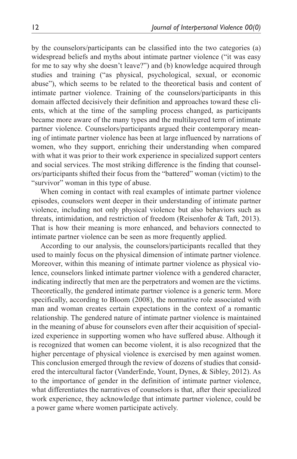by the counselors/participants can be classified into the two categories (a) widespread beliefs and myths about intimate partner violence ("it was easy for me to say why she doesn't leave?") and (b) knowledge acquired through studies and training ("as physical, psychological, sexual, or economic abuse"), which seems to be related to the theoretical basis and content of intimate partner violence. Training of the counselors/participants in this domain affected decisively their definition and approaches toward these clients, which at the time of the sampling process changed, as participants became more aware of the many types and the multilayered term of intimate partner violence. Counselors/participants argued their contemporary meaning of intimate partner violence has been at large influenced by narrations of women, who they support, enriching their understanding when compared with what it was prior to their work experience in specialized support centers and social services. The most striking difference is the finding that counselors/participants shifted their focus from the "battered" woman (victim) to the "survivor" woman in this type of abuse.

When coming in contact with real examples of intimate partner violence episodes, counselors went deeper in their understanding of intimate partner violence, including not only physical violence but also behaviors such as threats, intimidation, and restriction of freedom (Reisenhofer & Taft, 2013). That is how their meaning is more enhanced, and behaviors connected to intimate partner violence can be seen as more frequently applied.

According to our analysis, the counselors/participants recalled that they used to mainly focus on the physical dimension of intimate partner violence. Moreover, within this meaning of intimate partner violence as physical violence, counselors linked intimate partner violence with a gendered character, indicating indirectly that men are the perpetrators and women are the victims. Theoretically, the gendered intimate partner violence is a generic term. More specifically, according to Bloom (2008), the normative role associated with man and woman creates certain expectations in the context of a romantic relationship. The gendered nature of intimate partner violence is maintained in the meaning of abuse for counselors even after their acquisition of specialized experience in supporting women who have suffered abuse. Although it is recognized that women can become violent, it is also recognized that the higher percentage of physical violence is exercised by men against women. This conclusion emerged through the review of dozens of studies that considered the intercultural factor (VanderEnde, Yount, Dynes, & Sibley, 2012). As to the importance of gender in the definition of intimate partner violence, what differentiates the narratives of counselors is that, after their specialized work experience, they acknowledge that intimate partner violence, could be a power game where women participate actively.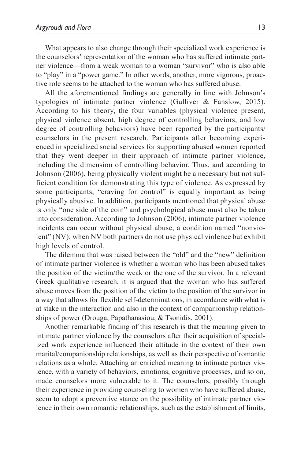What appears to also change through their specialized work experience is the counselors' representation of the woman who has suffered intimate partner violence—from a weak woman to a woman "survivor" who is also able to "play" in a "power game." In other words, another, more vigorous, proactive role seems to be attached to the woman who has suffered abuse.

All the aforementioned findings are generally in line with Johnson's typologies of intimate partner violence (Gulliver & Fanslow, 2015). According to his theory, the four variables (physical violence present, physical violence absent, high degree of controlling behaviors, and low degree of controlling behaviors) have been reported by the participants/ counselors in the present research. Participants after becoming experienced in specialized social services for supporting abused women reported that they went deeper in their approach of intimate partner violence, including the dimension of controlling behavior. Thus, and according to Johnson (2006), being physically violent might be a necessary but not sufficient condition for demonstrating this type of violence. As expressed by some participants, "craving for control" is equally important as being physically abusive. In addition, participants mentioned that physical abuse is only "one side of the coin" and psychological abuse must also be taken into consideration. According to Johnson (2006), intimate partner violence incidents can occur without physical abuse, a condition named "nonviolent" (NV); when NV both partners do not use physical violence but exhibit high levels of control.

The dilemma that was raised between the "old" and the "new" definition of intimate partner violence is whether a woman who has been abused takes the position of the victim/the weak or the one of the survivor. In a relevant Greek qualitative research, it is argued that the woman who has suffered abuse moves from the position of the victim to the position of the survivor in a way that allows for flexible self-determinations, in accordance with what is at stake in the interaction and also in the context of companionship relationships of power (Drouga, Papathanasiou, & Tsonidis, 2001).

Another remarkable finding of this research is that the meaning given to intimate partner violence by the counselors after their acquisition of specialized work experience influenced their attitude in the context of their own marital/companionship relationships, as well as their perspective of romantic relations as a whole. Attaching an enriched meaning to intimate partner violence, with a variety of behaviors, emotions, cognitive processes, and so on, made counselors more vulnerable to it. The counselors, possibly through their experience in providing counseling to women who have suffered abuse, seem to adopt a preventive stance on the possibility of intimate partner violence in their own romantic relationships, such as the establishment of limits,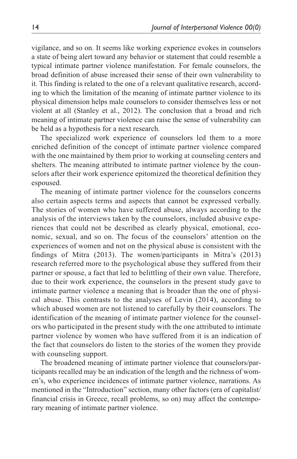vigilance, and so on. It seems like working experience evokes in counselors a state of being alert toward any behavior or statement that could resemble a typical intimate partner violence manifestation. For female counselors, the broad definition of abuse increased their sense of their own vulnerability to it. This finding is related to the one of a relevant qualitative research, according to which the limitation of the meaning of intimate partner violence to its physical dimension helps male counselors to consider themselves less or not violent at all (Stanley et al., 2012). The conclusion that a broad and rich meaning of intimate partner violence can raise the sense of vulnerability can be held as a hypothesis for a next research.

The specialized work experience of counselors led them to a more enriched definition of the concept of intimate partner violence compared with the one maintained by them prior to working at counseling centers and shelters. The meaning attributed to intimate partner violence by the counselors after their work experience epitomized the theoretical definition they espoused.

The meaning of intimate partner violence for the counselors concerns also certain aspects terms and aspects that cannot be expressed verbally. The stories of women who have suffered abuse, always according to the analysis of the interviews taken by the counselors, included abusive experiences that could not be described as clearly physical, emotional, economic, sexual, and so on. The focus of the counselors' attention on the experiences of women and not on the physical abuse is consistent with the findings of Mitra (2013). The women/participants in Mitra's (2013) research referred more to the psychological abuse they suffered from their partner or spouse, a fact that led to belittling of their own value. Therefore, due to their work experience, the counselors in the present study gave to intimate partner violence a meaning that is broader than the one of physical abuse. This contrasts to the analyses of Levin (2014), according to which abused women are not listened to carefully by their counselors. The identification of the meaning of intimate partner violence for the counselors who participated in the present study with the one attributed to intimate partner violence by women who have suffered from it is an indication of the fact that counselors do listen to the stories of the women they provide with counseling support.

The broadened meaning of intimate partner violence that counselors/participants recalled may be an indication of the length and the richness of women's, who experience incidences of intimate partner violence, narrations. As mentioned in the "Introduction" section, many other factors (era of capitalist/ financial crisis in Greece, recall problems, so on) may affect the contemporary meaning of intimate partner violence.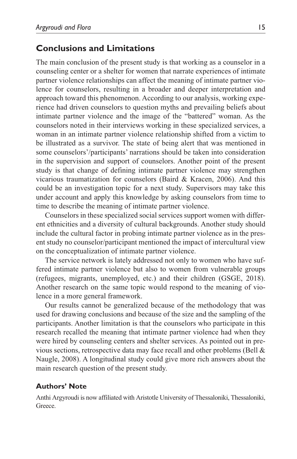## **Conclusions and Limitations**

The main conclusion of the present study is that working as a counselor in a counseling center or a shelter for women that narrate experiences of intimate partner violence relationships can affect the meaning of intimate partner violence for counselors, resulting in a broader and deeper interpretation and approach toward this phenomenon. According to our analysis, working experience had driven counselors to question myths and prevailing beliefs about intimate partner violence and the image of the "battered" woman. As the counselors noted in their interviews working in these specialized services, a woman in an intimate partner violence relationship shifted from a victim to be illustrated as a survivor. The state of being alert that was mentioned in some counselors'/participants' narrations should be taken into consideration in the supervision and support of counselors. Another point of the present study is that change of defining intimate partner violence may strengthen vicarious traumatization for counselors (Baird & Kracen, 2006). And this could be an investigation topic for a next study. Supervisors may take this under account and apply this knowledge by asking counselors from time to time to describe the meaning of intimate partner violence.

Counselors in these specialized social services support women with different ethnicities and a diversity of cultural backgrounds. Another study should include the cultural factor in probing intimate partner violence as in the present study no counselor/participant mentioned the impact of intercultural view on the conceptualization of intimate partner violence.

The service network is lately addressed not only to women who have suffered intimate partner violence but also to women from vulnerable groups (refugees, migrants, unemployed, etc.) and their children (GSGE, 2018). Another research on the same topic would respond to the meaning of violence in a more general framework.

Our results cannot be generalized because of the methodology that was used for drawing conclusions and because of the size and the sampling of the participants. Another limitation is that the counselors who participate in this research recalled the meaning that intimate partner violence had when they were hired by counseling centers and shelter services. As pointed out in previous sections, retrospective data may face recall and other problems (Bell & Naugle, 2008). A longitudinal study could give more rich answers about the main research question of the present study.

#### **Authors' Note**

Anthi Argyroudi is now affiliated with Aristotle University of Thessaloniki, Thessaloniki, Greece.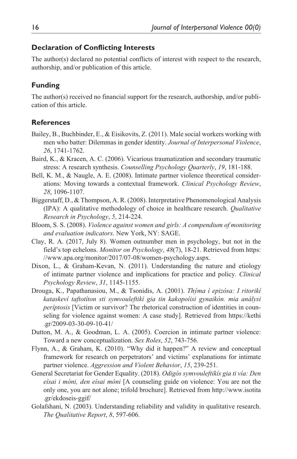#### **Declaration of Conflicting Interests**

The author(s) declared no potential conflicts of interest with respect to the research, authorship, and/or publication of this article.

#### **Funding**

The author(s) received no financial support for the research, authorship, and/or publication of this article.

#### **References**

- Bailey, B., Buchbinder, E., & Eisikovits, Z. (2011). Male social workers working with men who batter: Dilemmas in gender identity. *Journal of Interpersonal Violence*, *26*, 1741-1762.
- Baird, K., & Kracen, A. C. (2006). Vicarious traumatization and secondary traumatic stress: A research synthesis. *Counselling Psychology Quarterly*, *19*, 181-188.
- Bell, K. M., & Naugle, A. E. (2008). Intimate partner violence theoretical considerations: Moving towards a contextual framework. *Clinical Psychology Review*, *28*, 1096-1107.
- Biggerstaff, D., & Thompson, A. R. (2008). Interpretative Phenomenological Analysis (IPA): A qualitative methodology of choice in healthcare research. *Qualitative Research in Psychology*, *5*, 214-224.
- Bloom, S. S. (2008). *Violence against women and girls: A compendium of monitoring and evaluation indicators*. New York, NY: SAGE.
- Clay, R. A. (2017, July 8). Women outnumber men in psychology, but not in the field's top echelons. *Monitor on Psychology*, *48*(7), 18-21. Retrieved from [https:](https://www.apa.org/monitor/2017/07-08/women-psychology.aspx) [//www.apa.org/monitor/2017/07-08/women-psychology.aspx.](https://www.apa.org/monitor/2017/07-08/women-psychology.aspx)
- Dixon, L., & Graham-Kevan, N. (2011). Understanding the nature and etiology of intimate partner violence and implications for practice and policy. *Clinical Psychology Review*, *31*, 1145-1155.
- Drouga, K., Papathanasiou, M., & Tsonidis, A. (2001). *Thýma í epizósa: I ritorikí kataskeví taftotíton sti symvouleftikí gia tin kakopoíisi gynaikón. mia análysi períptosis* [Victim or survivor? The rhetorical construction of identities in counseling for violence against women: A case study]. Retrieved from [https://kethi](https://kethi.gr/2009-03-30-09-10-41/) [.gr/2009-03-30-09-10-41/](https://kethi.gr/2009-03-30-09-10-41/)
- Dutton, M. A., & Goodman, L. A. (2005). Coercion in intimate partner violence: Toward a new conceptualization. *Sex Roles*, *52*, 743-756.
- Flynn, A., & Graham, K. (2010). "Why did it happen?" A review and conceptual framework for research on perpetrators' and victims' explanations for intimate partner violence. *Aggression and Violent Behavior*, *15*, 239-251.
- General Secretariat for Gender Equality. (2018). *Odigós symvouleftikís gia ti vía: Den eísai i móni, den eísai móni* [A counseling guide on violence: You are not the only one, you are not alone; trifold brochure]. Retrieved from [http://www.isotita](http://www.isotita.gr/ekdoseis-ggif/) [.gr/ekdoseis-ggif/](http://www.isotita.gr/ekdoseis-ggif/)
- Golafshani, N. (2003). Understanding reliability and validity in qualitative research. *The Qualitative Report*, *8*, 597-606.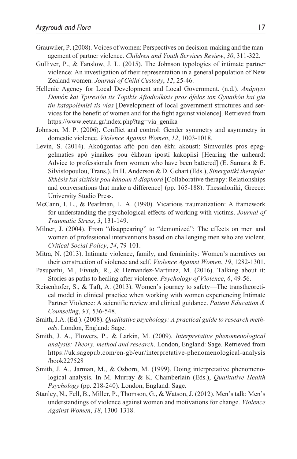- Grauwiler, P. (2008). Voices of women: Perspectives on decision-making and the management of partner violence. *Children and Youth Services Review*, *30*, 311-322.
- Gulliver, P., & Fanslow, J. L. (2015). The Johnson typologies of intimate partner violence: An investigation of their representation in a general population of New Zealand women. *Journal of Child Custody*, *12*, 25-46.
- Hellenic Agency for Local Development and Local Government. (n.d.). *Anáptyxi Domón kai Ypiresión tis Topikís Aftodioíkisis pros ófelos ton Gynaikón kai gia tin katapolémisi tis vías* [Development of local government structures and services for the benefit of women and for the fight against violence]. Retrieved from [https://www.eetaa.gr/index.php?tag=via\\_genika](https://www.eetaa.gr/index.php?tag=via_genika)
- Johnson, M. P. (2006). Conflict and control: Gender symmetry and asymmetry in domestic violence. *Violence Against Women*, *12*, 1003-1018.
- Levin, S. (2014). Akoúgontas aftó pou den ékhi akoustí: Simvoulés pros epaggelmatíes apó yinaíkes pou ékhoun ipostí kakopíisi [Hearing the unheard: Advice to professionals from women who have been battered] (E. Samara & E. Silvistopoulou, Trans.). In H. Anderson & D. Gehart (Eds.), *Sinergatikí therapía: Skhésis kai sizitísis pou kánoun ti diaphorá* [Collaborative therapy: Relationships and conversations that make a difference] (pp. 165-188). Thessaloniki, Greece: University Studio Press.
- McCann, I. L., & Pearlman, L. A. (1990). Vicarious traumatization: A framework for understanding the psychological effects of working with victims. *Journal of Traumatic Stress*, *3*, 131-149.
- Milner, J. (2004). From "disappearing" to "demonized": The effects on men and women of professional interventions based on challenging men who are violent. *Critical Social Policy*, *24*, 79-101.
- Mitra, N. (2013). Intimate violence, family, and femininity: Women's narratives on their construction of violence and self. *Violence Against Women*, *19*, 1282-1301.
- Pasupathi, M., Fivush, R., & Hernandez-Martinez, M. (2016). Talking about it: Stories as paths to healing after violence. *Psychology of Violence*, *6*, 49-56.
- Reisenhofer, S., & Taft, A. (2013). Women's journey to safety—The transtheoretical model in clinical practice when working with women experiencing Intimate Partner Violence: A scientific review and clinical guidance. *Patient Education & Counseling*, *93*, 536-548.
- Smith, J.A. (Ed.). (2008). *Qualitative psychology: A practical guide to research methods*. London, England: Sage.
- Smith, J. A., Flowers, P., & Larkin, M. (2009). *Interpretative phenomenological analysis: Theory, method and research*. London, England: Sage. Retrieved from [https://uk.sagepub.com/en-gb/eur/interpretative-phenomenological-analysis](https://uk.sagepub.com/en-gb/eur/interpretative-phenomenological-analysis/book227528) [/book227528](https://uk.sagepub.com/en-gb/eur/interpretative-phenomenological-analysis/book227528)
- Smith, J. A., Jarman, M., & Osborn, M. (1999). Doing interpretative phenomenological analysis. In M. Murray & K. Chamberlain (Eds.), *Qualitative Health Psychology* (pp. 218-240). London, England: Sage.
- Stanley, N., Fell, B., Miller, P., Thomson, G., & Watson, J. (2012). Men's talk: Men's understandings of violence against women and motivations for change. *Violence Against Women*, *18*, 1300-1318.